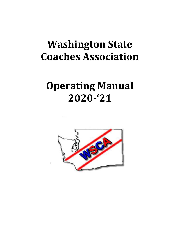# **Washington State Coaches Association**

# **Operating Manual 2020‐'21**

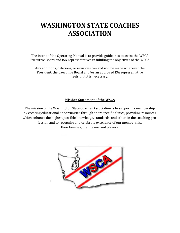# **WASHINGTON STATE COACHES ASSOCIATION**

The intent of the Operating Manual is to provide guidelines to assist the WSCA Executive Board and ISA representatives in fulfilling the objectives of the WSCA

Any additions, deletions, or revisions can and will be made whenever the President, the Executive Board and/or an approved ISA representative feels that it is necessary.

# **Mission Statement of the WSCA**

The mission of the Washington State Coaches Association is to support its membership by creating educational opportunities through sport specific clinics, providing resources which enhance the highest possible knowledge, standards, and ethics in the coaching profession and to recognize and celebrate excellence of our membership, their families, their teams and players.

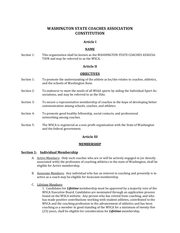# **WASHINGTON STATE COACHES ASSOCIATION CONSTITUTION**

### **Article I**

#### **NAME**

Section 1: This organization shall be known as the WASHINGTON STATE COACHES ASSOCIA-TION and may be referred to as the WSCA.

#### **Article II**

#### **OBJECTIVES**

- Section 1: To promote the understanding of the athlete as he/she relates to coaches, athletics, and the schools of Washington State.
- Section 2: To endeavor to meet the needs of all WIAA sports by aiding the Individual Sport Associations, and may be referred to as the ISAs.
- Section 3: To secure a representative membership of coaches in the hope of developing better communication among schools, coaches, and athletes.
- Section 4: To promote good healthy fellowship, social contacts, and professional networking among coaches.
- Section 5: The WSCA is registered as a non-profit organization with the State of Washington and the federal government.

#### **Article III**

#### **MEMBERSHIP**

#### **Section 1: Individual Membership**

- A. Active Members: Only such coaches who are or will be actively engaged in (or directly associated with) the profession of coaching athletics in the state of Washington, shall be eligible for Active membership.
- B. Associate Members: Any individual who has an interest in coaching and presently is inactive as a coach may be eligible for Associate membership.
- C. Lifetime Members:

1. Candidates for *Lifetime* membership must be approved by a majority vote of the WSCA Executive Board. Candidates are nominated through an application process found on the WSCA website. Any person who has retired from coaching, and who has made positive contributions working with student athletes, contributed to the WSCA and the coaching profession in the advancement of athletics and has been coaching as a member in good standing of the WSCA for a minimum of twenty-five (25) years, shall be eligible for consideration for *Lifetime* membership.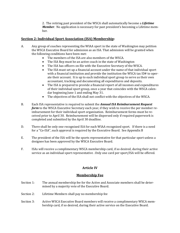2. The retiring past president of the WSCA shall automatically become a *Lifetime Member*. No application is necessary for past president's becoming a Lifetime member.

# **Section 2: Individual Sport Association (ISA) Membership:**

- A. Any group of coaches representing the WIAA sport in the state of Washington may petition the WSCA Executive Board for admission as an ISA. That admission will be granted when the following conditions have been met:
	- The members of the ISA are also members of the WSCA.
	- The ISA Rep must be an active coach in the state of Washington
	- The ISA has officers on file with the Executive Secretary of the WSCA.
	- The ISA must set up a financial account under the name of that individual sport with a financial institution and provide the institution the WSCA tax ID# to operate their account. It is up to each individual sport group to serve as their own accountant, tracking and documenting all expenditures and deposits.
	- The ISA is prepared to provide a financial report of all incomes and expenditures of their individual sport group, once a year that coincides with the WSCA calendar beginning June 1 and ending May 31.
	- The objectives of the ISA shall not conflict with the objectives of the WSCA.
- B. Each ISA representative is required to submit the *Annual ISA Reimbursement Request form* to the WSCA Executive Secretary each year, if they wish to receive the per member reimbursement for their individual sport organization. Reimbursement forms must be received prior to April 30. Reimbursement will be dispersed only if required paperwork is completed and submitted by the April 30 deadline.
- D. There shall be only one recognized ISA for each WIAA recognized sport. If there is a need for a "Co-ISA", such approval is required by the Executive Board. See Appendix B
- E. The president of the ISA will be the sports representative for that particular sport unless a designee has been approved by the WSCA Executive Board.
- F. ISAs will receive a complimentary WSCA membership card, if so desired, during their active service as an individual sport representative . Only one card per sport/ISA will be offered.

# **Article IV**

#### **Membership Fee**

- Section 1: The annual membership fee for the Active and Associate members shall be determined by a majority vote of the Executive Board.
- Section 2: Lifetime Members shall pay no membership fee
- Section 3: Active WSCA Executive Board members will receive a complimentary WSCA membership card, if so desired, during their active service on the Executive Board.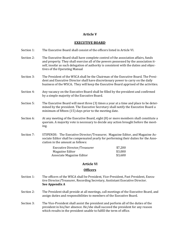#### **Article V**

#### **EXECUTIVE BOARD**

- Section 1: The Executive Board shall consist of the officers listed in Article VI.
- Section 2: The Executive Board shall have complete control of the association affairs, funds and property. They shall exercise all of the powers possessed by the association itself, insofar as such delegation of authority is consistent with the duties and objectives of the Operating Manual
- Section 3: The President of the WSCA shall be the Chairman of the Executive Board. The President and Executive Director shall have discretionary power to carry on the daily business of the WSCA**.** They will keep the Executive Board apprised of the activities.
- Section 4: Any vacancy on the Executive Board shall be filled by the president and confirmed by a simple majority of the Executive Board.
- Section 5: The Executive Board will meet three (3) times a year at a time and place to be determined by the president. The Executive Secretary shall notify the Executive Board a minimum of fifteen (15) days prior to the meeting date.
- Section 6: At any meeting of the Executive Board, eight (8) or more members shall constitute a quorum. A majority vote is necessary to decide any action brought before the meeting.
- Section 7: STIPENDS: The Executive Director/Treasurer, Magazine Editor, and Magazine Associate Editor shall be compensated yearly for performing their duties for the Association in the amount as follows:

| Executive Director/Treasurer | \$7,200 |
|------------------------------|---------|
| Magazine Editor              | \$3,000 |
| Associate Magazine Editor    | \$3,600 |

#### **Article VI**

#### **Officers**

- Section 1: The officers of the WSCA shall be President, Vice-President, Past President, Executive Director/Treasurer, Recording Secretary, Asstistant Executive Director. **See Appendix A**
- Section 2: The President shall preside at all meetings, call meetings of the Executive Board, and assign duties and responsibilities to members of the Executive Board.
- Section 3: The Vice-President shall assist the president and perform all of the duties of the president in his/her absence. He/she shall succeed the president for any reason which results in the president unable to fulfill the term of office.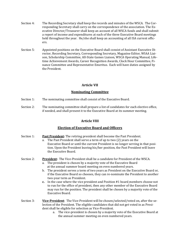- Section 4: The Recording Secretary shall keep the records and minutes of the WSCA. The Corresponding Secretary shall carry on the correspondence of the association. The Executive Director/Treasurer shall keep an account of all WSCA funds and shall submit a report of income and expenditures at each of the three Executive Board meetings held throughout the year. He/she shall keep an accounting of all ISA current officers.
- Section 5: Appointed positions on the Executive Board shall consist of Assistant Executive Director, Recording Secretary, Corresponding Secretary, Magazine Editor, WIAA Liaison, Scholarship Committee, All-State Games Liaison, WSCA Operating Manual, Lifetime Achievement Awards, Career Recognition Awards, Clock Hour Committee, Finance Committee and Representative Emeritus. Each will have duties assigned by the President.

# **Article VII**

# **Nominating Committee**

- Section 1: The nominating committee shall consist of the Executive Board.
- Section 2: The nominating committee shall prepare a list of candidates for each elective office, if needed, and shall present it to the Executive Board at its summer meeting.

# **Article VIII**

# **Election of Executive Board and Officers**

| Section 1: | <b>Past President:</b> The retiring president shall become the Past President.<br>The Past President shall serve a term of up to two (2) years on the<br>a.<br>Executive Board or until the current President is no longer serving in that posi-<br>tion. Upon the President leaving his/her position, the Past President will leave<br>the Executive Board.                                                                                                                                                                                                                                                                                                                                                                   |
|------------|--------------------------------------------------------------------------------------------------------------------------------------------------------------------------------------------------------------------------------------------------------------------------------------------------------------------------------------------------------------------------------------------------------------------------------------------------------------------------------------------------------------------------------------------------------------------------------------------------------------------------------------------------------------------------------------------------------------------------------|
| Section 2: | <b>President:</b> The Vice-President shall be a candidate for President of the WSCA.<br>The president is chosen by a majority vote of the Executive Board<br>a.<br>at the annual summer board meeting on even numbered years.<br>The president serves a term of two years as President on the Executive Board or,<br>b.<br>if the Executive Board so chooses, they can re-nominate the President to another<br>two-year term as President.<br>In the case where the vice president and Position #1 board members choose not<br>c.<br>to run for the office of president, then any other member of the Executive Board<br>may run for the position. The president shall be chosen by a majority vote of the<br>Executive Board. |
| Section 3: | Vice-President: The Vice-President will be chosen/selected/voted on, after the se-<br>lection of the President. The eligible candidates that did not get voted in as Presi-<br>dent shall be eligible for selection as Vice-President.<br>a. The vice-president is chosen by a majority vote of the Executive Board at<br>the annual summer meeting on even numbered years.                                                                                                                                                                                                                                                                                                                                                    |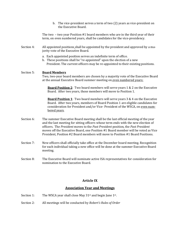|            | b. The vice-president serves a term of two (2) years as vice-president on<br>the Executive Board.                                                                                                                                                                                                                                                                                                                                  |
|------------|------------------------------------------------------------------------------------------------------------------------------------------------------------------------------------------------------------------------------------------------------------------------------------------------------------------------------------------------------------------------------------------------------------------------------------|
|            | The two - two year Position #1 board members who are in the third year of their<br>term, on even numbered years, shall be candidates for the vice-presidency.                                                                                                                                                                                                                                                                      |
| Section 4: | All appointed positions shall be appointed by the president and approved by a ma-<br>jority vote of the Executive Board.                                                                                                                                                                                                                                                                                                           |
|            | a. Each appointed position serves an indefinite term of office.<br>b. These positions shall be "re-appointed" upon the election of a new<br>President. The current officers may be re-appointed to their existing positions.                                                                                                                                                                                                       |
| Section 5: | <b>Board Members</b><br>Two, two-year board members are chosen by a majority vote of the Executive Board<br>at the annual Executive Board summer meeting on even numbered years:                                                                                                                                                                                                                                                   |
|            | <b>Board Position 2:</b> Two board members will serve years 1 & 2 on the Executive<br>Board. After two years, those members will move to Position 1.                                                                                                                                                                                                                                                                               |
|            | <b>Board Position 1:</b> Two board members will serve years 3 & 4 on the Executive<br>Board. After two years, members of Board Position 1 are eligible candidates for<br>consideration for President and/or Vice-President of the WSCA, on even num-<br>bered vears.                                                                                                                                                               |
| Section 6: | The summer Executive Board meeting shall be the last official meeting of the year<br>and the last meeting for sitting officers whose term ends with the new election of<br>officers. The President moves to the Past President position, the Past President<br>moves off the Executive Board, one Position #1 Board member will be voted as Vice<br>President, Position #2 Board members will move to Position #1 Board Positions. |
| Section 7: | New officers shall officially take office at the December board meeting. Recognition<br>for each individual taking a new office will be done at the summer Executive Board<br>meeting.                                                                                                                                                                                                                                             |

Section 8: The Executive Board will nominate active ISA representatives for consideration for nomination to the Executive Board.

# **Article IX**

#### **Association Year and Meetings**

- Section 1: The WSCA year shall close May 31<sup>st</sup> and begin June 1<sup>st</sup>.
- Section 2: All meetings will be conducted by *Robert's Rules of Order*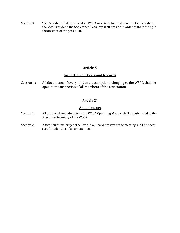Section 3: The President shall preside at all WSCA meetings. In the absence of the President, the Vice-President, the Secretary/Treasurer shall preside in order of their listing in the absence of the president.

# **Article X**

# **Inspection of Books and Records**

Section 1: All documents of every kind and description belonging to the WSCA shall be open to the inspection of all members of the association.

# **Article XI**

# **Amendments**

- Section 1: All proposed amendments to the WSCA Operating Manual shall be submitted to the Executive Secretary of the WSCA.
- Section 2: A two-thirds majority of the Executive Board present at the meeting shall be necessary for adoption of an amendment.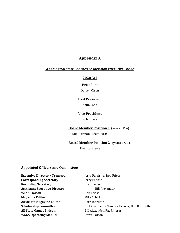# **Appendix A**

#### **Washington State Coaches Association Executive Board**

#### **2020‐'21**

#### **President**

Darrell Olson

# **Past President**

Nalin Sood

#### **Vice President**

#### Rob Friese

# **Board Member Position 1** (years 3 & 4)

Tom Harmon, Brett Lucas

# **Board Member Position 2** (years 1 & 2)

Tawnya Brewer

# **Appointed Officers and Committees**

| <b>Executive Director / Treasurer</b> | Jerry Parrish &       |
|---------------------------------------|-----------------------|
| <b>Corresponding Secretary</b>        | Jerry Parrish         |
| <b>Recording Secretary</b>            | <b>Brett Lucas</b>    |
| <b>Asstistant Executive Director</b>  | <b>Bill Ale</b>       |
| <b>WIAA Liaison</b>                   | Rob Friese            |
| <b>Magazine Editor</b>                | Mike Schick           |
| <b>Associate Magazine Editor</b>      | Barb Johnston         |
| <b>Scholarship Committee</b>          | <b>Rick Giampeitr</b> |
| <b>All State Games Liaison</b>        | Bill Alexander,       |
| <b>WSCA Operating Manual</b>          | Darrell Olson         |

**Jerry Parrish & Rob Friese Jerry Parrish Brett Lucas Bill Alexander WIAA Liaison** Rob Friese **Mike Schick Scholarship Committee** Rick Giampeitri, Tawnya Brewer, Bob Bourgette **All State Games Liaison**  Bill Alexander, Pat Fitterer **Darrell Olson**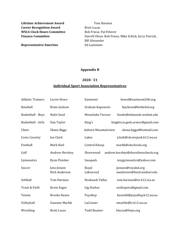**Lifetime Achievement Award Tom Harmon Career Recognition Award Brett Lucas WSCA Clock Hours Committee** Rob Friese, Pat Fitterer

**Representative Emeritus** Ed Laulainen

**Finance Committee** Darrell Olson, Rob Friese, Mike Schick, Jerry Parrish, Bill Alexander

### **Appendix B**

#### **2020‐ '21**

#### **Individual Sport Association Representatives**

| <b>Athletic Trainers</b> | Lorrie Howe                  | Eastmont                   | howel@eastmont206.org                            |
|--------------------------|------------------------------|----------------------------|--------------------------------------------------|
| Baseball                 | Brian Jackson                | Graham-Kapowsin            | bjackson@bethelsd.org                            |
| <b>Basketball - Boys</b> | Nalin Sood                   | <b>Mountlake Terrace</b>   | Soodn@edmonds.wednet.edu                         |
| Basketball - Girls       | Dan Taylor                   | King's                     | knights.in.gods.armor@gmail.com                  |
| Cheer                    | Shana Biggs                  | <b>Auburn Mountainview</b> | shana.biggs@hotmail.com                          |
| <b>Cross Country</b>     | Joe Clark                    | Lakes                      | jclark@cloverpark.k12.wa.us                      |
| Football                 | Mark Keel                    | Central Kitsap             | markk@ckschools.org                              |
| Golf                     | Andrew Hershey               | Shorewood                  | andrew.hershey@shorelineschools.org              |
| Gymnastics               | Ryan Fleisher                | Issaquah                   | issygymnastics@yahoo.com                         |
| Soccer                   | Jens Jensen<br>Nick Anderson | Royal<br>Lakewood          | jjensen@royalsd.org<br>nanderson@lwsd.wednet.edu |
| Softball                 | Tom Harmon                   | Nooksack Valley            | tom.harmon@nv.k12.wa.us                          |
| Track & Field            | Kevin Eager                  | Gig Harbor                 | wstfcaprez@gmail.com                             |
| Tennis                   | <b>Brooks Hazen</b>          | Puyallup                   | hazenbf@puyallup.k12.wa.us                       |
| Volleyball               | <b>Suzanne Marble</b>        | LaConner                   | smarble@lc.k12.wa.us                             |
| Wrestling                | <b>Brett Lucas</b>           | <b>Todd Beamer</b>         | blucas@fwps.org                                  |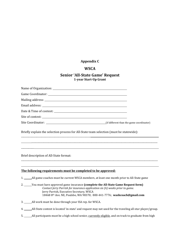# **Appendix C**

# **WSCA**

# **Senior 'All‐State Game' Request 1‐year Start‐Up Grant**

| Briefly explain the selection process for All-State team selection (must be statewide):                                                                                                                                                                                                         |  |  |
|-------------------------------------------------------------------------------------------------------------------------------------------------------------------------------------------------------------------------------------------------------------------------------------------------|--|--|
|                                                                                                                                                                                                                                                                                                 |  |  |
|                                                                                                                                                                                                                                                                                                 |  |  |
| Brief description of All-State format:                                                                                                                                                                                                                                                          |  |  |
|                                                                                                                                                                                                                                                                                                 |  |  |
| The following requirements must be completed to be approved:                                                                                                                                                                                                                                    |  |  |
|                                                                                                                                                                                                                                                                                                 |  |  |
| 2. _____You must have approved game insurance (complete the All-State Game Request form)<br>Contact Jerry Parrish for insurance application six (6) weeks prior to game.<br>Jerry Parrish, Executive Secretary, WSCA<br>18468 8th Ave. NE, Poulsbo, WA 98370; 800-441-7776; washcoach@gmail.com |  |  |
| 3. _______ All work must be done through your ISA rep. for WSCA.                                                                                                                                                                                                                                |  |  |
| 4. ______All-State contest is located 'in-state' and request may not used for the traveling all-star player/group.                                                                                                                                                                              |  |  |

5. \_\_\_\_\_\_\_All participants must be a high school senior, currently eligible, and on track to graduate from high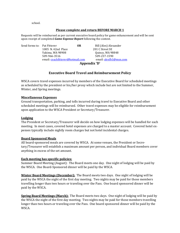school.

#### **Please complete and return BEFORE MARCH 1**

Requests will be reimbursed as per current executive board policy for game enhancement and will be sent upon receipt of completed *Game Expense Report* following the contest.

| Send forms to: Pat Fitterer |                                  | 0R           | Bill (Alex) Alexander  |
|-----------------------------|----------------------------------|--------------|------------------------|
|                             | 1005 N. 42nd Place               |              | 201 C Street SE        |
|                             | Yakima, WA 98908                 |              | Quincy, WA 98848       |
|                             | 509-966-3516                     |              | 509-237-1590           |
|                             | email: coachfitterer@hotmail.com |              | email: alexfb1@msn.com |
|                             |                                  | Appendix 'D' |                        |

# **Executive Board Travel and Reimbursement Policy**

WSCA covers travel expenses incurred by members of the Executive Board for scheduled meetings as scheduled by the president or his/her proxy which include but are not limited to the Summer, Winter, and Spring meetings.

#### **Miscellaneous Expenses**

Ground transportation, parking, and tolls incurred during travel to Executive Board and other scheduled meetings will be reimbursed. Other travel expenses may be eligible for reimbursement upon application to the WSCA President or Secretary/Treasurer.

#### **Lodging**

The President or Secretary/Treasurer will decide on how lodging expenses will be handled for each meeting. In most cases, covered hotel expenses are charged to a master account. Covered hotel expenses typically include nightly room charges but not hotel incidental charges.

#### **Board Sponsored Meals**

All board-sponsored meals are covered by WSCA. At some venues, the President or Secretary/Treasurer will establish a maximum amount per person, and individual Board members cover anything in excess of the set amount.

#### **Each meeting has specific policies:**

Summer Board Meeting (August): The Board meets one day. One night of lodging will be paid by the WSCA. One Board-Sponsored dinner will be paid by the WSCA.

**Winter Board Meetings (December):** The Board meets two days. One night of lodging will be paid by the WSCA the night of the first day meeting. Two nights may be paid for those members travelling longer than two hours or traveling over the Pass. One board sponsored dinner will be paid by the WSCA.

**Spring Board Meetings (March):** The Board meets two days. One night of lodging will be paid by the WSCA the night of the first day meeting. Two nights may be paid for those members travelling longer than two hours or traveling over the Pass. One board sponsored dinner will be paid by the WSCA.